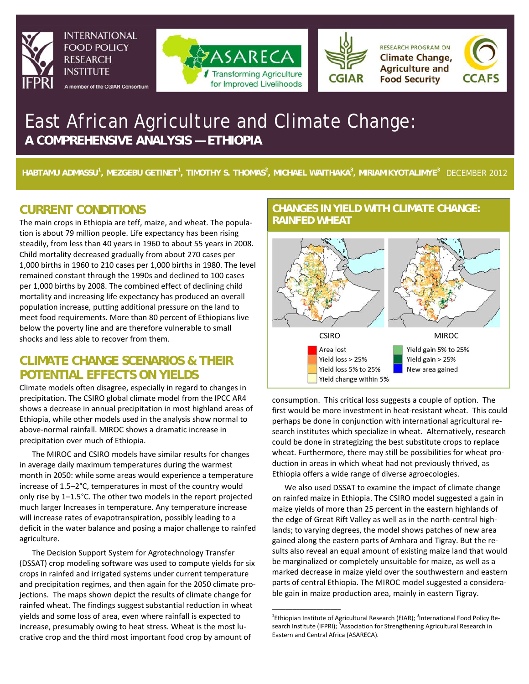

**INTERNATIONAL FOOD POLICY RESEARCH INSTITUTE** 

A member of the CGIAR Consortium





**RESEARCH PROGRAM ON Climate Change, Agriculture and Food Security** 



# East African Agriculture and Climate Change: **A COMPREHENSIVE ANALYSIS — ETHIOPIA**

**HABTAMU ADMASSU<sup>1</sup> , MEZGEBU GETINET1 , TIMOTHY S. THOMAS2 , MICHAEL WAITHAKA3 , MIRIAM KYOTALIMYE<sup>3</sup>**DECEMBER 2012

# **CURRENT CONDITIONS**

The main crops in Ethiopia are teff, maize, and wheat. The population is about 79 million people. Life expectancy has been rising steadily, from less than 40 years in 1960 to about 55 years in 2008. Child mortality decreased gradually from about 270 cases per 1,000 births in 1960 to 210 cases per 1,000 births in 1980. The level remained constant through the 1990s and declined to 100 cases per 1,000 births by 2008. The combined effect of declining child mortality and increasing life expectancy has produced an overall population increase, putting additional pressure on the land to meet food requirements. More than 80 percent of Ethiopians live below the poverty line and are therefore vulnerable to small shocks and less able to recover from them.

## **CLIMATE CHANGE SCENARIOS & THEIR POTENTIAL EFFECTS ON YIELDS**

Climate models often disagree, especially in regard to changes in precipitation. The CSIRO global climate model from the IPCC AR4 shows a decrease in annual precipitation in most highland areas of Ethiopia, while other models used in the analysis show normal to above-normal rainfall. MIROC shows a dramatic increase in precipitation over much of Ethiopia.

The MIROC and CSIRO models have similar results for changes in average daily maximum temperatures during the warmest month in 2050: while some areas would experience a temperature increase of 1.5–2°C, temperatures in most of the country would only rise by 1–1.5°C. The other two models in the report projected much larger Increases in temperature. Any temperature increase will increase rates of evapotranspiration, possibly leading to a deficit in the water balance and posing a major challenge to rainfed agriculture.

The Decision Support System for Agrotechnology Transfer (DSSAT) crop modeling software was used to compute yields for six crops in rainfed and irrigated systems under current temperature and precipitation regimes, and then again for the 2050 climate projections. The maps shown depict the results of climate change for rainfed wheat. The findings suggest substantial reduction in wheat yields and some loss of area, even where rainfall is expected to increase, presumably owing to heat stress. Wheat is the most lucrative crop and the third most important food crop by amount of

### **CHANGES IN YIELD WITH CLIMATE CHANGE: RAINFED WHEAT**



consumption. This critical loss suggests a couple of option. The first would be more investment in heat-resistant wheat. This could perhaps be done in conjunction with international agricultural research institutes which specialize in wheat. Alternatively, research could be done in strategizing the best substitute crops to replace wheat. Furthermore, there may still be possibilities for wheat production in areas in which wheat had not previously thrived, as Ethiopia offers a wide range of diverse agroecologies.

We also used DSSAT to examine the impact of climate change on rainfed maize in Ethiopia. The CSIRO model suggested a gain in maize yields of more than 25 percent in the eastern highlands of the edge of Great Rift Valley as well as in the north-central highlands; to varying degrees, the model shows patches of new area gained along the eastern parts of Amhara and Tigray. But the results also reveal an equal amount of existing maize land that would be marginalized or completely unsuitable for maize, as well as a marked decrease in maize yield over the southwestern and eastern parts of central Ethiopia. The MIROC model suggested a considerable gain in maize production area, mainly in eastern Tigray.

\_\_\_\_\_\_\_\_\_\_\_\_\_\_\_\_\_\_\_\_

<sup>&</sup>lt;sup>1</sup>Ethiopian Institute of Agricultural Research (EIAR); <sup>3</sup>International Food Policy Research Institute (IFPRI); <sup>3</sup>Association for Strengthening Agricultural Research in Eastern and Central Africa (ASARECA).